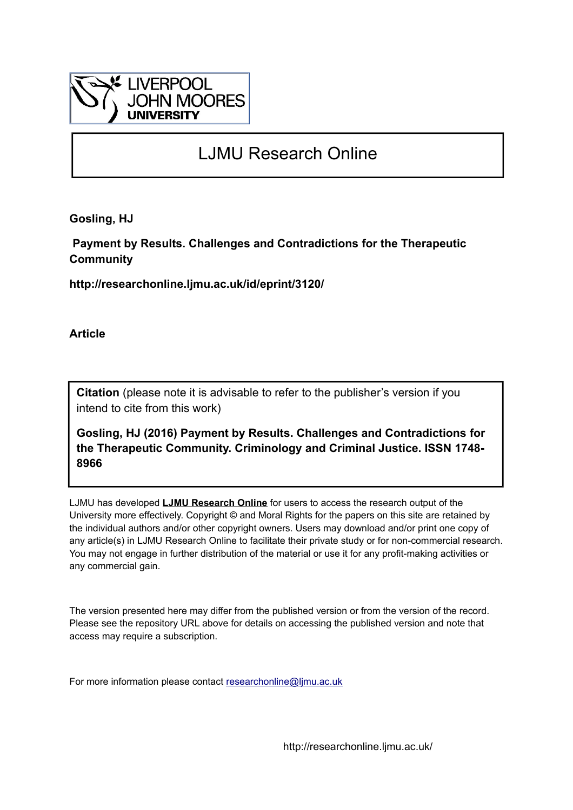

# LJMU Research Online

**Gosling, HJ**

 **Payment by Results. Challenges and Contradictions for the Therapeutic Community**

**http://researchonline.ljmu.ac.uk/id/eprint/3120/**

**Article**

**Citation** (please note it is advisable to refer to the publisher's version if you intend to cite from this work)

**Gosling, HJ (2016) Payment by Results. Challenges and Contradictions for the Therapeutic Community. Criminology and Criminal Justice. ISSN 1748- 8966** 

LJMU has developed **[LJMU Research Online](http://researchonline.ljmu.ac.uk/)** for users to access the research output of the University more effectively. Copyright © and Moral Rights for the papers on this site are retained by the individual authors and/or other copyright owners. Users may download and/or print one copy of any article(s) in LJMU Research Online to facilitate their private study or for non-commercial research. You may not engage in further distribution of the material or use it for any profit-making activities or any commercial gain.

The version presented here may differ from the published version or from the version of the record. Please see the repository URL above for details on accessing the published version and note that access may require a subscription.

For more information please contact [researchonline@ljmu.ac.uk](mailto:researchonline@ljmu.ac.uk)

http://researchonline.ljmu.ac.uk/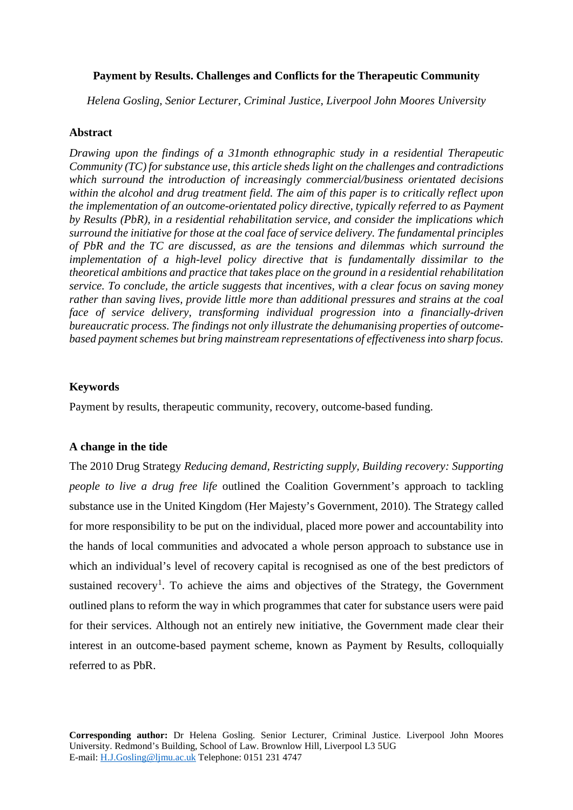# **Payment by Results. Challenges and Conflicts for the Therapeutic Community**

*Helena Gosling, Senior Lecturer, Criminal Justice, Liverpool John Moores University*

# **Abstract**

*Drawing upon the findings of a 31month ethnographic study in a residential Therapeutic Community (TC) for substance use, this article sheds light on the challenges and contradictions which surround the introduction of increasingly commercial/business orientated decisions within the alcohol and drug treatment field. The aim of this paper is to critically reflect upon the implementation of an outcome-orientated policy directive, typically referred to as Payment by Results (PbR), in a residential rehabilitation service, and consider the implications which surround the initiative for those at the coal face of service delivery. The fundamental principles of PbR and the TC are discussed, as are the tensions and dilemmas which surround the implementation of a high-level policy directive that is fundamentally dissimilar to the theoretical ambitions and practice that takes place on the ground in a residential rehabilitation service. To conclude, the article suggests that incentives, with a clear focus on saving money rather than saving lives, provide little more than additional pressures and strains at the coal face of service delivery, transforming individual progression into a financially-driven bureaucratic process. The findings not only illustrate the dehumanising properties of outcomebased payment schemes but bring mainstream representations of effectiveness into sharp focus.* 

# **Keywords**

Payment by results, therapeutic community, recovery, outcome-based funding.

# **A change in the tide**

The 2010 Drug Strategy *Reducing demand, Restricting supply, Building recovery: Supporting people to live a drug free life* outlined the Coalition Government's approach to tackling substance use in the United Kingdom (Her Majesty's Government, 2010). The Strategy called for more responsibility to be put on the individual, placed more power and accountability into the hands of local communities and advocated a whole person approach to substance use in which an individual's level of recovery capital is recognised as one of the best predictors of sustained recovery<sup>[1](#page-15-0)</sup>. To achieve the aims and objectives of the Strategy, the Government outlined plans to reform the way in which programmes that cater for substance users were paid for their services. Although not an entirely new initiative, the Government made clear their interest in an outcome-based payment scheme, known as Payment by Results, colloquially referred to as PbR.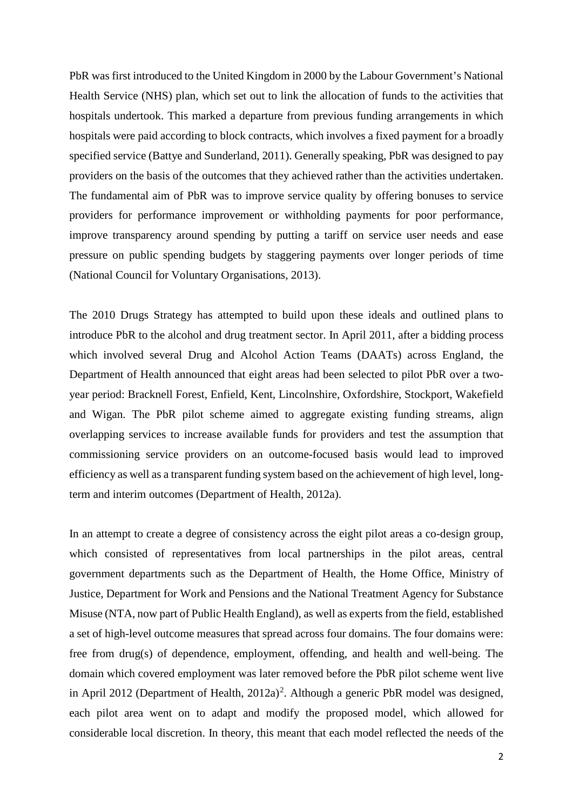PbR was first introduced to the United Kingdom in 2000 by the Labour Government's National Health Service (NHS) plan, which set out to link the allocation of funds to the activities that hospitals undertook. This marked a departure from previous funding arrangements in which hospitals were paid according to block contracts, which involves a fixed payment for a broadly specified service (Battye and Sunderland, 2011). Generally speaking, PbR was designed to pay providers on the basis of the outcomes that they achieved rather than the activities undertaken. The fundamental aim of PbR was to improve service quality by offering bonuses to service providers for performance improvement or withholding payments for poor performance, improve transparency around spending by putting a tariff on service user needs and ease pressure on public spending budgets by staggering payments over longer periods of time (National Council for Voluntary Organisations, 2013).

The 2010 Drugs Strategy has attempted to build upon these ideals and outlined plans to introduce PbR to the alcohol and drug treatment sector. In April 2011, after a bidding process which involved several Drug and Alcohol Action Teams (DAATs) across England, the Department of Health announced that eight areas had been selected to pilot PbR over a twoyear period: Bracknell Forest, Enfield, Kent, Lincolnshire, Oxfordshire, Stockport, Wakefield and Wigan. The PbR pilot scheme aimed to aggregate existing funding streams, align overlapping services to increase available funds for providers and test the assumption that commissioning service providers on an outcome-focused basis would lead to improved efficiency as well as a transparent funding system based on the achievement of high level, longterm and interim outcomes (Department of Health, 2012a).

In an attempt to create a degree of consistency across the eight pilot areas a co-design group, which consisted of representatives from local partnerships in the pilot areas, central government departments such as the Department of Health, the Home Office, Ministry of Justice, Department for Work and Pensions and the National Treatment Agency for Substance Misuse (NTA, now part of Public Health England), as well as experts from the field, established a set of high-level outcome measures that spread across four domains. The four domains were: free from drug(s) of dependence, employment, offending, and health and well-being. The domain which covered employment was later removed before the PbR pilot scheme went live in April [2](#page-15-1)012 (Department of Health,  $2012a$ )<sup>2</sup>. Although a generic PbR model was designed, each pilot area went on to adapt and modify the proposed model, which allowed for considerable local discretion. In theory, this meant that each model reflected the needs of the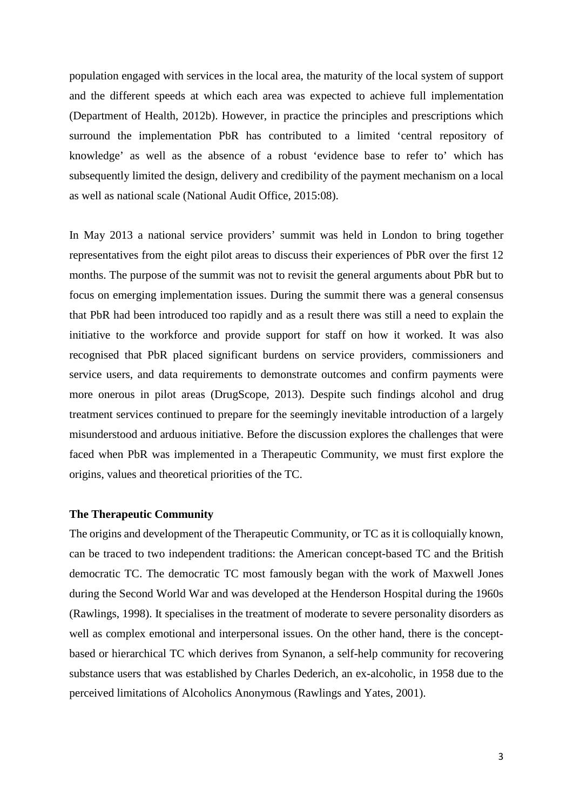population engaged with services in the local area, the maturity of the local system of support and the different speeds at which each area was expected to achieve full implementation (Department of Health, 2012b). However, in practice the principles and prescriptions which surround the implementation PbR has contributed to a limited 'central repository of knowledge' as well as the absence of a robust 'evidence base to refer to' which has subsequently limited the design, delivery and credibility of the payment mechanism on a local as well as national scale (National Audit Office, 2015:08).

In May 2013 a national service providers' summit was held in London to bring together representatives from the eight pilot areas to discuss their experiences of PbR over the first 12 months. The purpose of the summit was not to revisit the general arguments about PbR but to focus on emerging implementation issues. During the summit there was a general consensus that PbR had been introduced too rapidly and as a result there was still a need to explain the initiative to the workforce and provide support for staff on how it worked. It was also recognised that PbR placed significant burdens on service providers, commissioners and service users, and data requirements to demonstrate outcomes and confirm payments were more onerous in pilot areas (DrugScope, 2013). Despite such findings alcohol and drug treatment services continued to prepare for the seemingly inevitable introduction of a largely misunderstood and arduous initiative. Before the discussion explores the challenges that were faced when PbR was implemented in a Therapeutic Community, we must first explore the origins, values and theoretical priorities of the TC.

# **The Therapeutic Community**

The origins and development of the Therapeutic Community, or TC as it is colloquially known, can be traced to two independent traditions: the American concept-based TC and the British democratic TC. The democratic TC most famously began with the work of Maxwell Jones during the Second World War and was developed at the Henderson Hospital during the 1960s (Rawlings, 1998). It specialises in the treatment of moderate to severe personality disorders as well as complex emotional and interpersonal issues. On the other hand, there is the conceptbased or hierarchical TC which derives from Synanon, a self-help community for recovering substance users that was established by Charles Dederich, an ex-alcoholic, in 1958 due to the perceived limitations of Alcoholics Anonymous (Rawlings and Yates, 2001).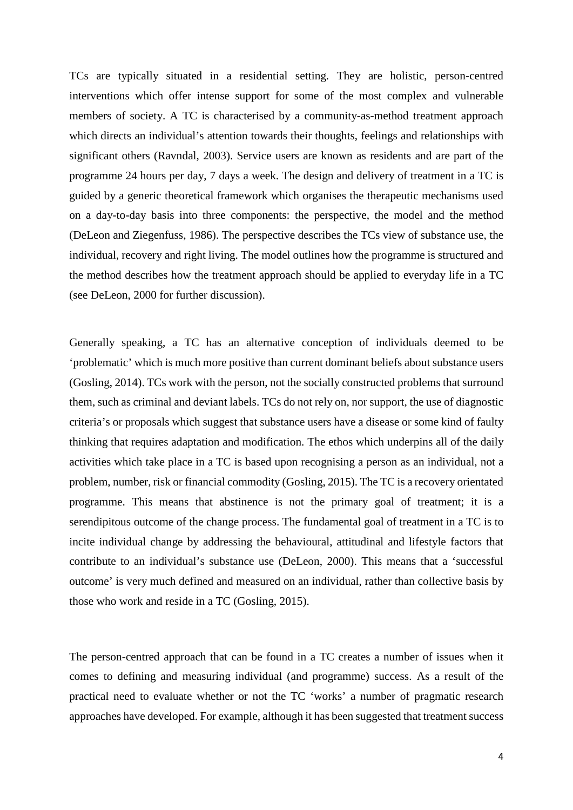TCs are typically situated in a residential setting. They are holistic, person-centred interventions which offer intense support for some of the most complex and vulnerable members of society. A TC is characterised by a community-as-method treatment approach which directs an individual's attention towards their thoughts, feelings and relationships with significant others (Ravndal, 2003). Service users are known as residents and are part of the programme 24 hours per day, 7 days a week. The design and delivery of treatment in a TC is guided by a generic theoretical framework which organises the therapeutic mechanisms used on a day-to-day basis into three components: the perspective, the model and the method (DeLeon and Ziegenfuss, 1986). The perspective describes the TCs view of substance use, the individual, recovery and right living. The model outlines how the programme is structured and the method describes how the treatment approach should be applied to everyday life in a TC (see DeLeon, 2000 for further discussion).

Generally speaking, a TC has an alternative conception of individuals deemed to be 'problematic' which is much more positive than current dominant beliefs about substance users (Gosling, 2014). TCs work with the person, not the socially constructed problems that surround them, such as criminal and deviant labels. TCs do not rely on, nor support, the use of diagnostic criteria's or proposals which suggest that substance users have a disease or some kind of faulty thinking that requires adaptation and modification. The ethos which underpins all of the daily activities which take place in a TC is based upon recognising a person as an individual, not a problem, number, risk or financial commodity (Gosling, 2015). The TC is a recovery orientated programme. This means that abstinence is not the primary goal of treatment; it is a serendipitous outcome of the change process. The fundamental goal of treatment in a TC is to incite individual change by addressing the behavioural, attitudinal and lifestyle factors that contribute to an individual's substance use (DeLeon, 2000). This means that a 'successful outcome' is very much defined and measured on an individual, rather than collective basis by those who work and reside in a TC (Gosling, 2015).

The person-centred approach that can be found in a TC creates a number of issues when it comes to defining and measuring individual (and programme) success. As a result of the practical need to evaluate whether or not the TC 'works' a number of pragmatic research approaches have developed. For example, although it has been suggested that treatment success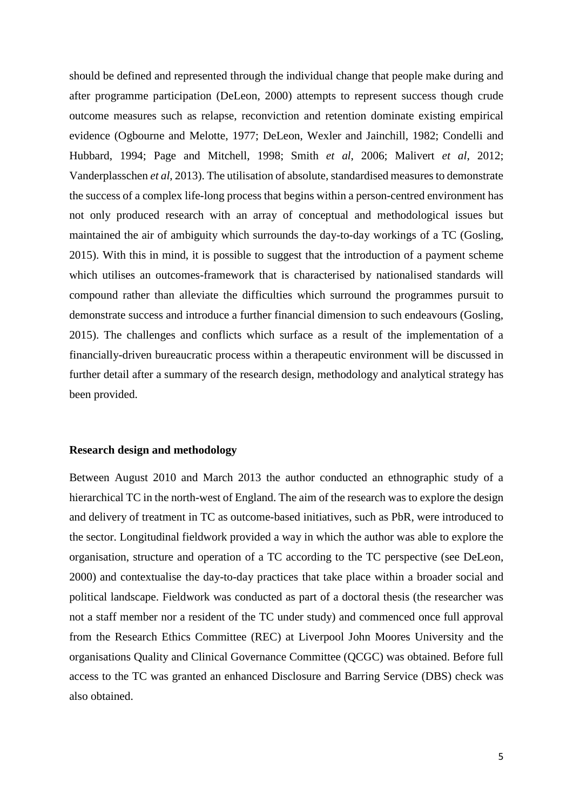should be defined and represented through the individual change that people make during and after programme participation (DeLeon, 2000) attempts to represent success though crude outcome measures such as relapse, reconviction and retention dominate existing empirical evidence (Ogbourne and Melotte, 1977; DeLeon, Wexler and Jainchill, 1982; Condelli and Hubbard, 1994; Page and Mitchell, 1998; Smith *et al*, 2006; Malivert *et al*, 2012; Vanderplasschen *et al*, 2013). The utilisation of absolute, standardised measures to demonstrate the success of a complex life-long process that begins within a person-centred environment has not only produced research with an array of conceptual and methodological issues but maintained the air of ambiguity which surrounds the day-to-day workings of a TC (Gosling, 2015). With this in mind, it is possible to suggest that the introduction of a payment scheme which utilises an outcomes-framework that is characterised by nationalised standards will compound rather than alleviate the difficulties which surround the programmes pursuit to demonstrate success and introduce a further financial dimension to such endeavours (Gosling, 2015). The challenges and conflicts which surface as a result of the implementation of a financially-driven bureaucratic process within a therapeutic environment will be discussed in further detail after a summary of the research design, methodology and analytical strategy has been provided.

#### **Research design and methodology**

Between August 2010 and March 2013 the author conducted an ethnographic study of a hierarchical TC in the north-west of England. The aim of the research was to explore the design and delivery of treatment in TC as outcome-based initiatives, such as PbR, were introduced to the sector. Longitudinal fieldwork provided a way in which the author was able to explore the organisation, structure and operation of a TC according to the TC perspective (see DeLeon, 2000) and contextualise the day-to-day practices that take place within a broader social and political landscape. Fieldwork was conducted as part of a doctoral thesis (the researcher was not a staff member nor a resident of the TC under study) and commenced once full approval from the Research Ethics Committee (REC) at Liverpool John Moores University and the organisations Quality and Clinical Governance Committee (QCGC) was obtained. Before full access to the TC was granted an enhanced Disclosure and Barring Service (DBS) check was also obtained.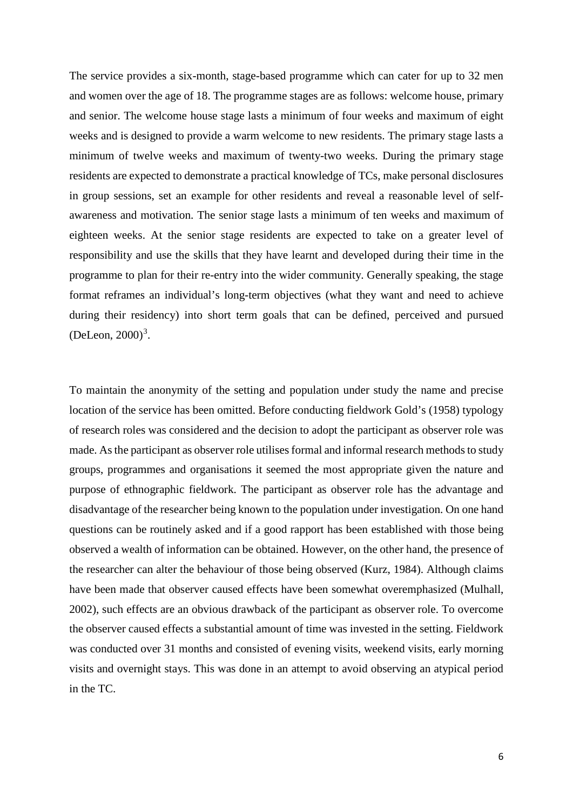The service provides a six-month, stage-based programme which can cater for up to 32 men and women over the age of 18. The programme stages are as follows: welcome house, primary and senior. The welcome house stage lasts a minimum of four weeks and maximum of eight weeks and is designed to provide a warm welcome to new residents. The primary stage lasts a minimum of twelve weeks and maximum of twenty-two weeks. During the primary stage residents are expected to demonstrate a practical knowledge of TCs, make personal disclosures in group sessions, set an example for other residents and reveal a reasonable level of selfawareness and motivation. The senior stage lasts a minimum of ten weeks and maximum of eighteen weeks. At the senior stage residents are expected to take on a greater level of responsibility and use the skills that they have learnt and developed during their time in the programme to plan for their re-entry into the wider community. Generally speaking, the stage format reframes an individual's long-term objectives (what they want and need to achieve during their residency) into short term goals that can be defined, perceived and pursued  $(DeLeon, 2000)^3$  $(DeLeon, 2000)^3$ .

To maintain the anonymity of the setting and population under study the name and precise location of the service has been omitted. Before conducting fieldwork Gold's (1958) typology of research roles was considered and the decision to adopt the participant as observer role was made. As the participant as observer role utilises formal and informal research methods to study groups, programmes and organisations it seemed the most appropriate given the nature and purpose of ethnographic fieldwork. The participant as observer role has the advantage and disadvantage of the researcher being known to the population under investigation. On one hand questions can be routinely asked and if a good rapport has been established with those being observed a wealth of information can be obtained. However, on the other hand, the presence of the researcher can alter the behaviour of those being observed (Kurz, 1984). Although claims have been made that observer caused effects have been somewhat overemphasized (Mulhall, 2002), such effects are an obvious drawback of the participant as observer role. To overcome the observer caused effects a substantial amount of time was invested in the setting. Fieldwork was conducted over 31 months and consisted of evening visits, weekend visits, early morning visits and overnight stays. This was done in an attempt to avoid observing an atypical period in the TC.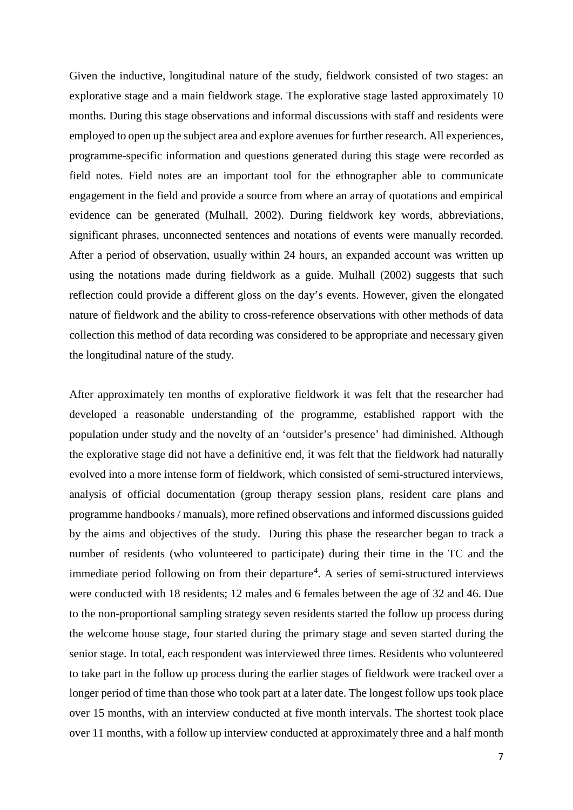Given the inductive, longitudinal nature of the study, fieldwork consisted of two stages: an explorative stage and a main fieldwork stage. The explorative stage lasted approximately 10 months. During this stage observations and informal discussions with staff and residents were employed to open up the subject area and explore avenues for further research. All experiences, programme-specific information and questions generated during this stage were recorded as field notes. Field notes are an important tool for the ethnographer able to communicate engagement in the field and provide a source from where an array of quotations and empirical evidence can be generated (Mulhall, 2002). During fieldwork key words, abbreviations, significant phrases, unconnected sentences and notations of events were manually recorded. After a period of observation, usually within 24 hours, an expanded account was written up using the notations made during fieldwork as a guide. Mulhall (2002) suggests that such reflection could provide a different gloss on the day's events. However, given the elongated nature of fieldwork and the ability to cross-reference observations with other methods of data collection this method of data recording was considered to be appropriate and necessary given the longitudinal nature of the study.

After approximately ten months of explorative fieldwork it was felt that the researcher had developed a reasonable understanding of the programme, established rapport with the population under study and the novelty of an 'outsider's presence' had diminished. Although the explorative stage did not have a definitive end, it was felt that the fieldwork had naturally evolved into a more intense form of fieldwork, which consisted of semi-structured interviews, analysis of official documentation (group therapy session plans, resident care plans and programme handbooks / manuals), more refined observations and informed discussions guided by the aims and objectives of the study. During this phase the researcher began to track a number of residents (who volunteered to participate) during their time in the TC and the immediate period following on from their departure<sup>[4](#page-15-3)</sup>. A series of semi-structured interviews were conducted with 18 residents; 12 males and 6 females between the age of 32 and 46. Due to the non-proportional sampling strategy seven residents started the follow up process during the welcome house stage, four started during the primary stage and seven started during the senior stage. In total, each respondent was interviewed three times. Residents who volunteered to take part in the follow up process during the earlier stages of fieldwork were tracked over a longer period of time than those who took part at a later date. The longest follow ups took place over 15 months, with an interview conducted at five month intervals. The shortest took place over 11 months, with a follow up interview conducted at approximately three and a half month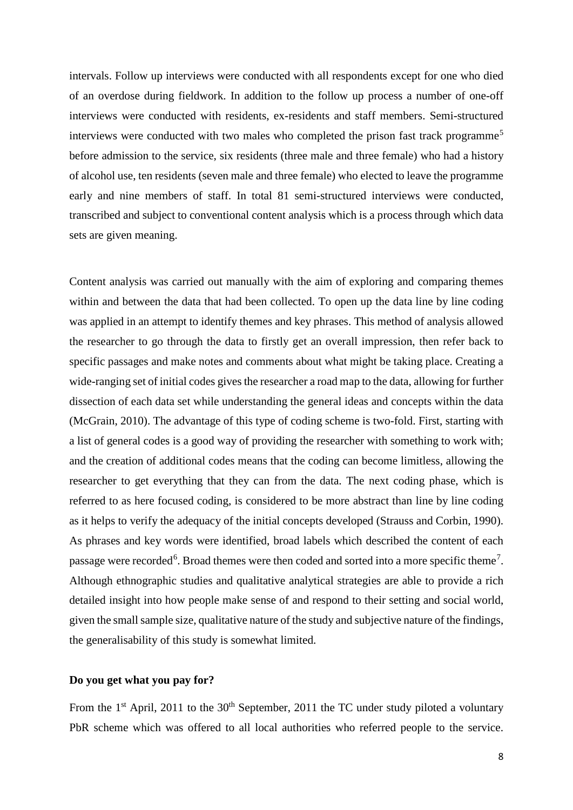intervals. Follow up interviews were conducted with all respondents except for one who died of an overdose during fieldwork. In addition to the follow up process a number of one-off interviews were conducted with residents, ex-residents and staff members. Semi-structured interviews were conducted with two males who completed the prison fast track programme<sup>[5](#page-15-4)</sup> before admission to the service, six residents (three male and three female) who had a history of alcohol use, ten residents (seven male and three female) who elected to leave the programme early and nine members of staff. In total 81 semi-structured interviews were conducted, transcribed and subject to conventional content analysis which is a process through which data sets are given meaning.

Content analysis was carried out manually with the aim of exploring and comparing themes within and between the data that had been collected. To open up the data line by line coding was applied in an attempt to identify themes and key phrases. This method of analysis allowed the researcher to go through the data to firstly get an overall impression, then refer back to specific passages and make notes and comments about what might be taking place. Creating a wide-ranging set of initial codes gives the researcher a road map to the data, allowing for further dissection of each data set while understanding the general ideas and concepts within the data (McGrain, 2010). The advantage of this type of coding scheme is two-fold. First, starting with a list of general codes is a good way of providing the researcher with something to work with; and the creation of additional codes means that the coding can become limitless, allowing the researcher to get everything that they can from the data. The next coding phase, which is referred to as here focused coding, is considered to be more abstract than line by line coding as it helps to verify the adequacy of the initial concepts developed (Strauss and Corbin, 1990). As phrases and key words were identified, broad labels which described the content of each passage were recorded<sup>[6](#page-15-5)</sup>. Broad themes were then coded and sorted into a more specific theme<sup>[7](#page-15-6)</sup>. Although ethnographic studies and qualitative analytical strategies are able to provide a rich detailed insight into how people make sense of and respond to their setting and social world, given the small sample size, qualitative nature of the study and subjective nature of the findings, the generalisability of this study is somewhat limited.

# **Do you get what you pay for?**

From the  $1<sup>st</sup>$  April, 2011 to the 30<sup>th</sup> September, 2011 the TC under study piloted a voluntary PbR scheme which was offered to all local authorities who referred people to the service.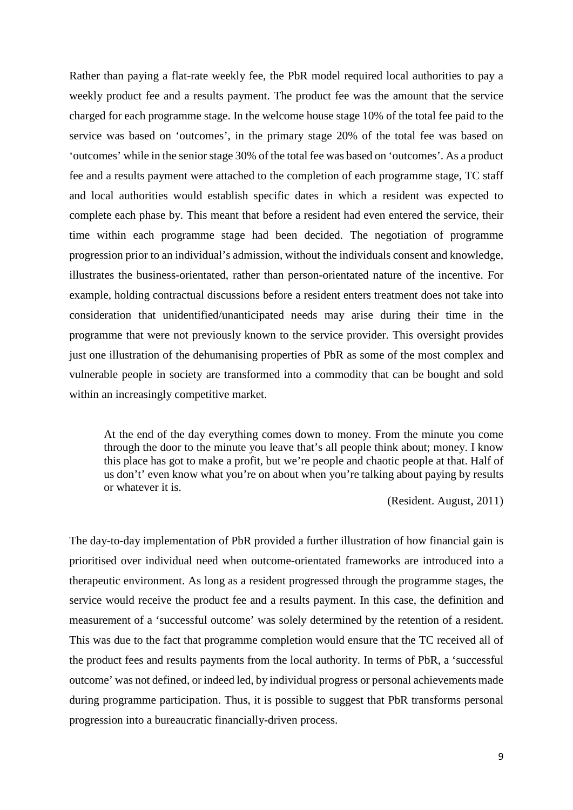Rather than paying a flat-rate weekly fee, the PbR model required local authorities to pay a weekly product fee and a results payment. The product fee was the amount that the service charged for each programme stage. In the welcome house stage 10% of the total fee paid to the service was based on 'outcomes', in the primary stage 20% of the total fee was based on 'outcomes' while in the senior stage 30% of the total fee was based on 'outcomes'. As a product fee and a results payment were attached to the completion of each programme stage, TC staff and local authorities would establish specific dates in which a resident was expected to complete each phase by. This meant that before a resident had even entered the service, their time within each programme stage had been decided. The negotiation of programme progression prior to an individual's admission, without the individuals consent and knowledge, illustrates the business-orientated, rather than person-orientated nature of the incentive. For example, holding contractual discussions before a resident enters treatment does not take into consideration that unidentified/unanticipated needs may arise during their time in the programme that were not previously known to the service provider. This oversight provides just one illustration of the dehumanising properties of PbR as some of the most complex and vulnerable people in society are transformed into a commodity that can be bought and sold within an increasingly competitive market.

At the end of the day everything comes down to money. From the minute you come through the door to the minute you leave that's all people think about; money. I know this place has got to make a profit, but we're people and chaotic people at that. Half of us don't' even know what you're on about when you're talking about paying by results or whatever it is.

# (Resident. August, 2011)

The day-to-day implementation of PbR provided a further illustration of how financial gain is prioritised over individual need when outcome-orientated frameworks are introduced into a therapeutic environment. As long as a resident progressed through the programme stages, the service would receive the product fee and a results payment. In this case, the definition and measurement of a 'successful outcome' was solely determined by the retention of a resident. This was due to the fact that programme completion would ensure that the TC received all of the product fees and results payments from the local authority. In terms of PbR, a 'successful outcome' was not defined, or indeed led, by individual progress or personal achievements made during programme participation. Thus, it is possible to suggest that PbR transforms personal progression into a bureaucratic financially-driven process.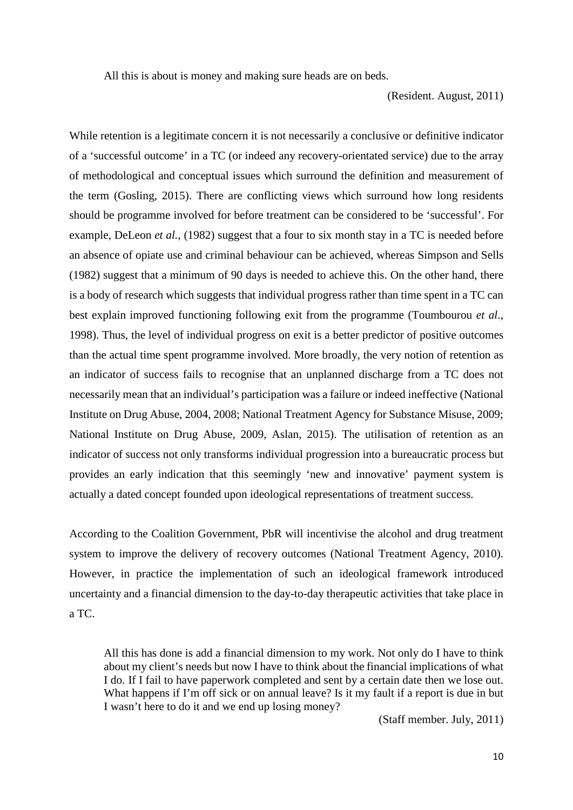All this is about is money and making sure heads are on beds.

(Resident. August, 2011)

While retention is a legitimate concern it is not necessarily a conclusive or definitive indicator of a 'successful outcome' in a TC (or indeed any recovery-orientated service) due to the array of methodological and conceptual issues which surround the definition and measurement of the term (Gosling, 2015). There are conflicting views which surround how long residents should be programme involved for before treatment can be considered to be 'successful'. For example, DeLeon *et al.*, (1982) suggest that a four to six month stay in a TC is needed before an absence of opiate use and criminal behaviour can be achieved, whereas Simpson and Sells (1982) suggest that a minimum of 90 days is needed to achieve this. On the other hand, there is a body of research which suggests that individual progress rather than time spent in a TC can best explain improved functioning following exit from the programme (Toumbourou *et al*., 1998). Thus, the level of individual progress on exit is a better predictor of positive outcomes than the actual time spent programme involved. More broadly, the very notion of retention as an indicator of success fails to recognise that an unplanned discharge from a TC does not necessarily mean that an individual's participation was a failure or indeed ineffective (National Institute on Drug Abuse, 2004, 2008; National Treatment Agency for Substance Misuse, 2009; National Institute on Drug Abuse, 2009, Aslan, 2015). The utilisation of retention as an indicator of success not only transforms individual progression into a bureaucratic process but provides an early indication that this seemingly 'new and innovative' payment system is actually a dated concept founded upon ideological representations of treatment success.

According to the Coalition Government, PbR will incentivise the alcohol and drug treatment system to improve the delivery of recovery outcomes (National Treatment Agency, 2010). However, in practice the implementation of such an ideological framework introduced uncertainty and a financial dimension to the day-to-day therapeutic activities that take place in a TC.

All this has done is add a financial dimension to my work. Not only do I have to think about my client's needs but now I have to think about the financial implications of what I do. If I fail to have paperwork completed and sent by a certain date then we lose out. What happens if I'm off sick or on annual leave? Is it my fault if a report is due in but I wasn't here to do it and we end up losing money?

(Staff member. July, 2011)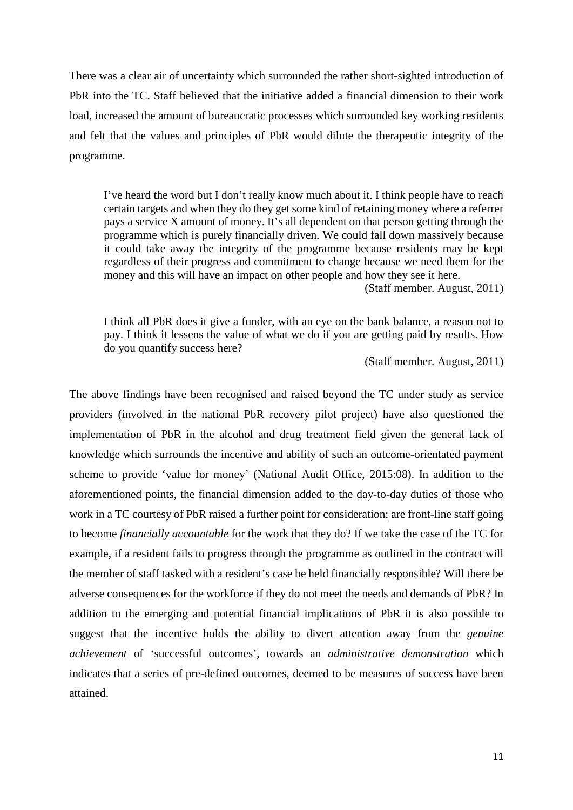There was a clear air of uncertainty which surrounded the rather short-sighted introduction of PbR into the TC. Staff believed that the initiative added a financial dimension to their work load, increased the amount of bureaucratic processes which surrounded key working residents and felt that the values and principles of PbR would dilute the therapeutic integrity of the programme.

I've heard the word but I don't really know much about it. I think people have to reach certain targets and when they do they get some kind of retaining money where a referrer pays a service X amount of money. It's all dependent on that person getting through the programme which is purely financially driven. We could fall down massively because it could take away the integrity of the programme because residents may be kept regardless of their progress and commitment to change because we need them for the money and this will have an impact on other people and how they see it here.

(Staff member. August, 2011)

I think all PbR does it give a funder, with an eye on the bank balance, a reason not to pay. I think it lessens the value of what we do if you are getting paid by results. How do you quantify success here?

(Staff member. August, 2011)

The above findings have been recognised and raised beyond the TC under study as service providers (involved in the national PbR recovery pilot project) have also questioned the implementation of PbR in the alcohol and drug treatment field given the general lack of knowledge which surrounds the incentive and ability of such an outcome-orientated payment scheme to provide 'value for money' (National Audit Office, 2015:08). In addition to the aforementioned points, the financial dimension added to the day-to-day duties of those who work in a TC courtesy of PbR raised a further point for consideration; are front-line staff going to become *financially accountable* for the work that they do? If we take the case of the TC for example, if a resident fails to progress through the programme as outlined in the contract will the member of staff tasked with a resident's case be held financially responsible? Will there be adverse consequences for the workforce if they do not meet the needs and demands of PbR? In addition to the emerging and potential financial implications of PbR it is also possible to suggest that the incentive holds the ability to divert attention away from the *genuine achievement* of 'successful outcomes', towards an *administrative demonstration* which indicates that a series of pre-defined outcomes, deemed to be measures of success have been attained.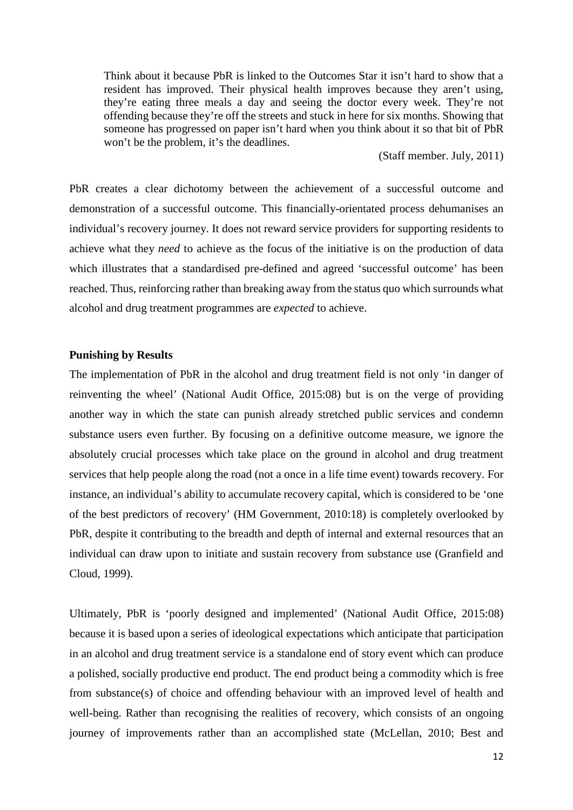Think about it because PbR is linked to the Outcomes Star it isn't hard to show that a resident has improved. Their physical health improves because they aren't using, they're eating three meals a day and seeing the doctor every week. They're not offending because they're off the streets and stuck in here for six months. Showing that someone has progressed on paper isn't hard when you think about it so that bit of PbR won't be the problem, it's the deadlines.

(Staff member. July, 2011)

PbR creates a clear dichotomy between the achievement of a successful outcome and demonstration of a successful outcome. This financially-orientated process dehumanises an individual's recovery journey. It does not reward service providers for supporting residents to achieve what they *need* to achieve as the focus of the initiative is on the production of data which illustrates that a standardised pre-defined and agreed 'successful outcome' has been reached. Thus, reinforcing rather than breaking away from the status quo which surrounds what alcohol and drug treatment programmes are *expected* to achieve.

### **Punishing by Results**

The implementation of PbR in the alcohol and drug treatment field is not only 'in danger of reinventing the wheel' (National Audit Office, 2015:08) but is on the verge of providing another way in which the state can punish already stretched public services and condemn substance users even further. By focusing on a definitive outcome measure, we ignore the absolutely crucial processes which take place on the ground in alcohol and drug treatment services that help people along the road (not a once in a life time event) towards recovery. For instance, an individual's ability to accumulate recovery capital, which is considered to be 'one of the best predictors of recovery' (HM Government, 2010:18) is completely overlooked by PbR, despite it contributing to the breadth and depth of internal and external resources that an individual can draw upon to initiate and sustain recovery from substance use (Granfield and Cloud, 1999).

Ultimately, PbR is 'poorly designed and implemented' (National Audit Office, 2015:08) because it is based upon a series of ideological expectations which anticipate that participation in an alcohol and drug treatment service is a standalone end of story event which can produce a polished, socially productive end product. The end product being a commodity which is free from substance(s) of choice and offending behaviour with an improved level of health and well-being. Rather than recognising the realities of recovery, which consists of an ongoing journey of improvements rather than an accomplished state (McLellan, 2010; Best and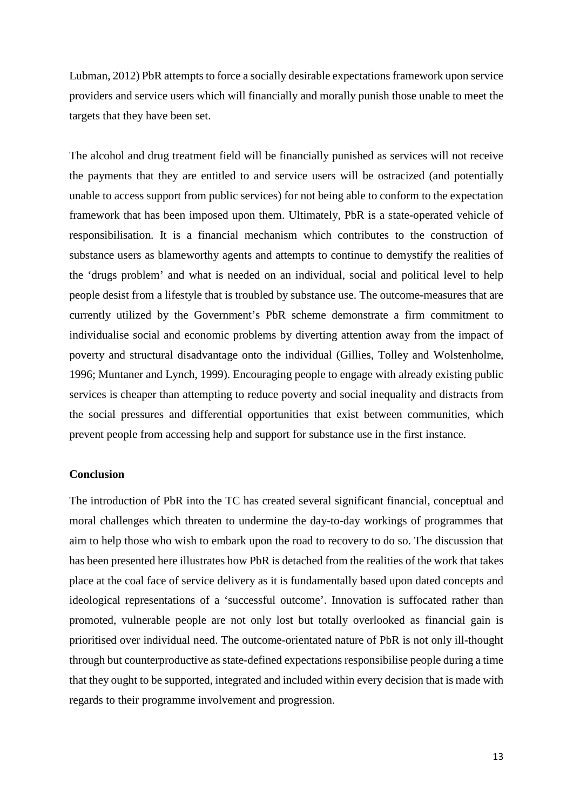Lubman, 2012) PbR attempts to force a socially desirable expectations framework upon service providers and service users which will financially and morally punish those unable to meet the targets that they have been set.

The alcohol and drug treatment field will be financially punished as services will not receive the payments that they are entitled to and service users will be ostracized (and potentially unable to access support from public services) for not being able to conform to the expectation framework that has been imposed upon them. Ultimately, PbR is a state-operated vehicle of responsibilisation. It is a financial mechanism which contributes to the construction of substance users as blameworthy agents and attempts to continue to demystify the realities of the 'drugs problem' and what is needed on an individual, social and political level to help people desist from a lifestyle that is troubled by substance use. The outcome-measures that are currently utilized by the Government's PbR scheme demonstrate a firm commitment to individualise social and economic problems by diverting attention away from the impact of poverty and structural disadvantage onto the individual (Gillies, Tolley and Wolstenholme, 1996; Muntaner and Lynch, 1999). Encouraging people to engage with already existing public services is cheaper than attempting to reduce poverty and social inequality and distracts from the social pressures and differential opportunities that exist between communities, which prevent people from accessing help and support for substance use in the first instance.

# **Conclusion**

The introduction of PbR into the TC has created several significant financial, conceptual and moral challenges which threaten to undermine the day-to-day workings of programmes that aim to help those who wish to embark upon the road to recovery to do so. The discussion that has been presented here illustrates how PbR is detached from the realities of the work that takes place at the coal face of service delivery as it is fundamentally based upon dated concepts and ideological representations of a 'successful outcome'. Innovation is suffocated rather than promoted, vulnerable people are not only lost but totally overlooked as financial gain is prioritised over individual need. The outcome-orientated nature of PbR is not only ill-thought through but counterproductive as state-defined expectations responsibilise people during a time that they ought to be supported, integrated and included within every decision that is made with regards to their programme involvement and progression.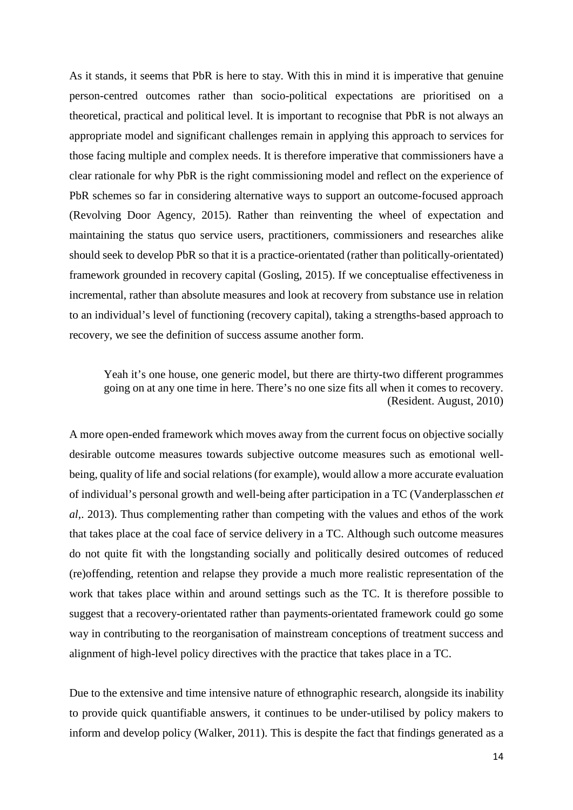As it stands, it seems that PbR is here to stay. With this in mind it is imperative that genuine person-centred outcomes rather than socio-political expectations are prioritised on a theoretical, practical and political level. It is important to recognise that PbR is not always an appropriate model and significant challenges remain in applying this approach to services for those facing multiple and complex needs. It is therefore imperative that commissioners have a clear rationale for why PbR is the right commissioning model and reflect on the experience of PbR schemes so far in considering alternative ways to support an outcome-focused approach (Revolving Door Agency, 2015). Rather than reinventing the wheel of expectation and maintaining the status quo service users, practitioners, commissioners and researches alike should seek to develop PbR so that it is a practice-orientated (rather than politically-orientated) framework grounded in recovery capital (Gosling, 2015). If we conceptualise effectiveness in incremental, rather than absolute measures and look at recovery from substance use in relation to an individual's level of functioning (recovery capital), taking a strengths-based approach to recovery, we see the definition of success assume another form.

Yeah it's one house, one generic model, but there are thirty-two different programmes going on at any one time in here. There's no one size fits all when it comes to recovery. (Resident. August, 2010)

A more open-ended framework which moves away from the current focus on objective socially desirable outcome measures towards subjective outcome measures such as emotional wellbeing, quality of life and social relations (for example), would allow a more accurate evaluation of individual's personal growth and well-being after participation in a TC (Vanderplasschen *et al*,. 2013). Thus complementing rather than competing with the values and ethos of the work that takes place at the coal face of service delivery in a TC. Although such outcome measures do not quite fit with the longstanding socially and politically desired outcomes of reduced (re)offending, retention and relapse they provide a much more realistic representation of the work that takes place within and around settings such as the TC. It is therefore possible to suggest that a recovery-orientated rather than payments-orientated framework could go some way in contributing to the reorganisation of mainstream conceptions of treatment success and alignment of high-level policy directives with the practice that takes place in a TC.

Due to the extensive and time intensive nature of ethnographic research, alongside its inability to provide quick quantifiable answers, it continues to be under-utilised by policy makers to inform and develop policy (Walker, 2011). This is despite the fact that findings generated as a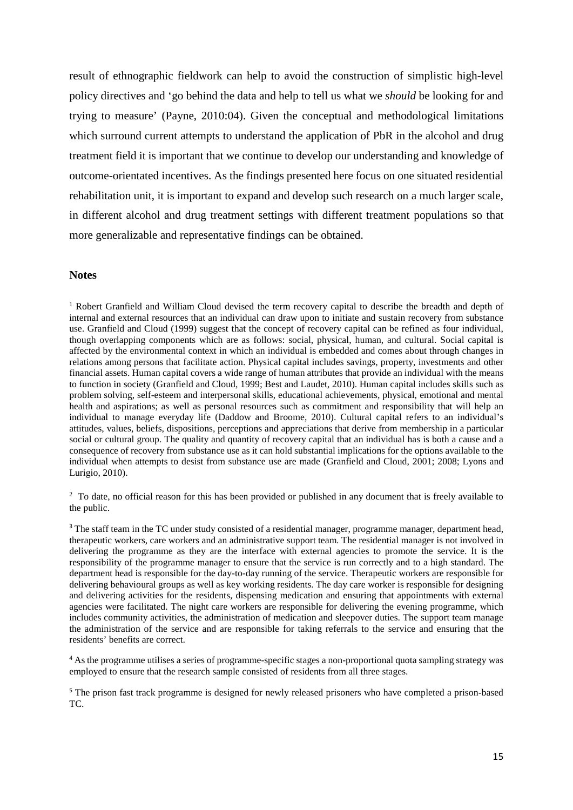<span id="page-15-6"></span><span id="page-15-5"></span>result of ethnographic fieldwork can help to avoid the construction of simplistic high-level policy directives and 'go behind the data and help to tell us what we *should* be looking for and trying to measure' (Payne, 2010:04). Given the conceptual and methodological limitations which surround current attempts to understand the application of PbR in the alcohol and drug treatment field it is important that we continue to develop our understanding and knowledge of outcome-orientated incentives. As the findings presented here focus on one situated residential rehabilitation unit, it is important to expand and develop such research on a much larger scale, in different alcohol and drug treatment settings with different treatment populations so that more generalizable and representative findings can be obtained.

### **Notes**

<span id="page-15-0"></span><sup>1</sup> Robert Granfield and William Cloud devised the term recovery capital to describe the breadth and depth of internal and external resources that an individual can draw upon to initiate and sustain recovery from substance use. Granfield and Cloud (1999) suggest that the concept of recovery capital can be refined as four individual, though overlapping components which are as follows: social, physical, human, and cultural. Social capital is affected by the environmental context in which an individual is embedded and comes about through changes in relations among persons that facilitate action. Physical capital includes savings, property, investments and other financial assets. Human capital covers a wide range of human attributes that provide an individual with the means to function in society (Granfield and Cloud, 1999; Best and Laudet, 2010). Human capital includes skills such as problem solving, self-esteem and interpersonal skills, educational achievements, physical, emotional and mental health and aspirations; as well as personal resources such as commitment and responsibility that will help an individual to manage everyday life (Daddow and Broome, 2010). Cultural capital refers to an individual's attitudes, values, beliefs, dispositions, perceptions and appreciations that derive from membership in a particular social or cultural group. The quality and quantity of recovery capital that an individual has is both a cause and a consequence of recovery from substance use as it can hold substantial implications for the options available to the individual when attempts to desist from substance use are made (Granfield and Cloud, 2001; 2008; Lyons and Lurigio, 2010).

<span id="page-15-1"></span><sup>2</sup> To date, no official reason for this has been provided or published in any document that is freely available to the public.

<span id="page-15-2"></span><sup>3</sup> The staff team in the TC under study consisted of a residential manager, programme manager, department head, therapeutic workers, care workers and an administrative support team. The residential manager is not involved in delivering the programme as they are the interface with external agencies to promote the service. It is the responsibility of the programme manager to ensure that the service is run correctly and to a high standard. The department head is responsible for the day-to-day running of the service. Therapeutic workers are responsible for delivering behavioural groups as well as key working residents. The day care worker is responsible for designing and delivering activities for the residents, dispensing medication and ensuring that appointments with external agencies were facilitated. The night care workers are responsible for delivering the evening programme, which includes community activities, the administration of medication and sleepover duties. The support team manage the administration of the service and are responsible for taking referrals to the service and ensuring that the residents' benefits are correct.

<span id="page-15-3"></span><sup>4</sup> As the programme utilises a series of programme-specific stages a non-proportional quota sampling strategy was employed to ensure that the research sample consisted of residents from all three stages.

<span id="page-15-4"></span><sup>5</sup> The prison fast track programme is designed for newly released prisoners who have completed a prison-based TC.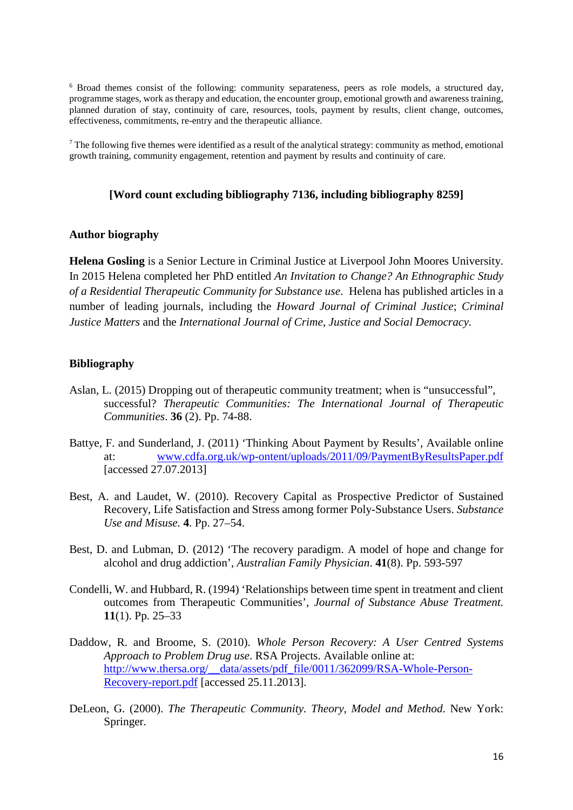<sup>6</sup> Broad themes consist of the following: community separateness, peers as role models, a structured day, programme stages, work as therapy and education, the encounter group, emotional growth and awareness training, planned duration of stay, continuity of care, resources, tools, payment by results, client change, outcomes, effectiveness, commitments, re-entry and the therapeutic alliance.

 $7$  The following five themes were identified as a result of the analytical strategy: community as method, emotional growth training, community engagement, retention and payment by results and continuity of care.

# **[Word count excluding bibliography 7136, including bibliography 8259]**

### **Author biography**

**Helena Gosling** is a Senior Lecture in Criminal Justice at Liverpool John Moores University. In 2015 Helena completed her PhD entitled *An Invitation to Change? An Ethnographic Study of a Residential Therapeutic Community for Substance use*. Helena has published articles in a number of leading journals, including the *Howard Journal of Criminal Justice*; *Criminal Justice Matters* and the *International Journal of Crime, Justice and Social Democracy.*

# **Bibliography**

- Aslan, L. (2015) Dropping out of therapeutic community treatment; when is "unsuccessful", successful? *Therapeutic Communities: The International Journal of Therapeutic Communities*. **36** (2). Pp. 74-88.
- Battye, F. and Sunderland, J. (2011) 'Thinking About Payment by Results', Available online at: [www.cdfa.org.uk/wp-ontent/uploads/2011/09/PaymentByResultsPaper.pdf](http://www.cdfa.org.uk/wp-ontent/uploads/2011/09/PaymentByResultsPaper.pdf) [accessed 27.07.2013]
- Best, A. and Laudet, W. (2010). Recovery Capital as Prospective Predictor of Sustained Recovery, Life Satisfaction and Stress among former Poly-Substance Users. *Substance Use and Misuse.* **4**. Pp. 27–54.
- Best, D. and Lubman, D. (2012) 'The recovery paradigm. A model of hope and change for alcohol and drug addiction', *Australian Family Physician*. **41**(8). Pp. 593-597
- Condelli, W. and Hubbard, R. (1994) 'Relationships between time spent in treatment and client outcomes from Therapeutic Communities', *Journal of Substance Abuse Treatment.*  **11**(1). Pp. 25–33
- Daddow, R. and Broome, S. (2010). *Whole Person Recovery: A User Centred Systems Approach to Problem Drug use*. RSA Projects. Available online at: [http://www.thersa.org/\\_\\_data/assets/pdf\\_file/0011/362099/RSA-Whole-Person-](http://www.thersa.org/__data/assets/pdf_file/0011/362099/RSA-Whole-Person-Recovery-report.pdf)[Recovery-report.pdf](http://www.thersa.org/__data/assets/pdf_file/0011/362099/RSA-Whole-Person-Recovery-report.pdf) [accessed 25.11.2013].
- DeLeon, G. (2000). *The Therapeutic Community. Theory, Model and Method*. New York: Springer.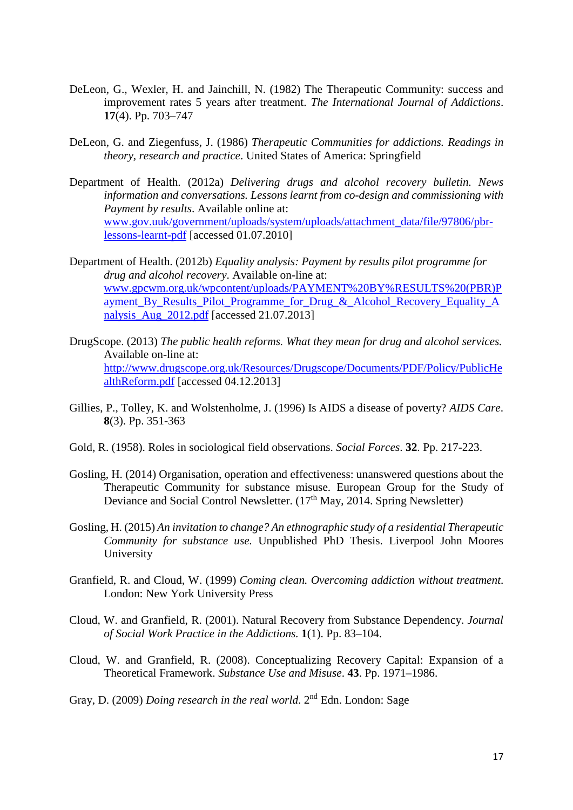- DeLeon, G., Wexler, H. and Jainchill, N. (1982) The Therapeutic Community: success and improvement rates 5 years after treatment. *The International Journal of Addictions*. **17**(4). Pp. 703–747
- DeLeon, G. and Ziegenfuss, J. (1986) *Therapeutic Communities for addictions. Readings in theory, research and practice*. United States of America: Springfield
- Department of Health. (2012a) *Delivering drugs and alcohol recovery bulletin. News information and conversations. Lessons learnt from co-design and commissioning with Payment by results*. Available online at: [www.gov.uuk/government/uploads/system/uploads/attachment\\_data/file/97806/pbr](http://www.gov.uuk/government/uploads/system/uploads/attachment_data/file/97806/pbr-lessons-learnt-pdf)[lessons-learnt-pdf](http://www.gov.uuk/government/uploads/system/uploads/attachment_data/file/97806/pbr-lessons-learnt-pdf) [accessed 01.07.2010]
- Department of Health. (2012b) *Equality analysis: Payment by results pilot programme for drug and alcohol recovery*. Available on-line at: [www.gpcwm.org.uk/wpcontent/uploads/PAYMENT%20BY%RESULTS%20\(PBR\)P](http://www.gpcwm.org.uk/wpcontent/uploads/PAYMENT%20BY%25RESULTS%20(PBR)Payment_By_Results_Pilot_Programme_for_Drug_&_Alcohol_Recovery_Equality_Analysis_Aug_2012.pdf) ayment By Results Pilot Programme for Drug & Alcohol Recovery Equality A nalysis Aug 2012.pdf [accessed 21.07.2013]
- DrugScope. (2013) *The public health reforms. What they mean for drug and alcohol services.* Available on-line at: [http://www.drugscope.org.uk/Resources/Drugscope/Documents/PDF/Policy/PublicHe](http://www.drugscope.org.uk/Resources/Drugscope/Documents/PDF/Policy/PublicHealthReform.pdf) [althReform.pdf](http://www.drugscope.org.uk/Resources/Drugscope/Documents/PDF/Policy/PublicHealthReform.pdf) [accessed 04.12.2013]
- Gillies, P., Tolley, K. and Wolstenholme, J. (1996) Is AIDS a disease of poverty? *AIDS Care*. **8**(3). Pp. 351-363
- Gold, R. (1958). Roles in sociological field observations. *Social Forces*. **32**. Pp. 217-223.
- Gosling, H. (2014) Organisation, operation and effectiveness: unanswered questions about the Therapeutic Community for substance misuse. European Group for the Study of Deviance and Social Control Newsletter.  $(17<sup>th</sup>$  May, 2014. Spring Newsletter)
- Gosling, H. (2015) *An invitation to change? An ethnographic study of a residential Therapeutic Community for substance use.* Unpublished PhD Thesis. Liverpool John Moores University
- Granfield, R. and Cloud, W. (1999) *Coming clean. Overcoming addiction without treatment*. London: New York University Press
- Cloud, W. and Granfield, R. (2001). Natural Recovery from Substance Dependency. *Journal of Social Work Practice in the Addictions.* **1**(1). Pp. 83–104.
- Cloud, W. and Granfield, R. (2008). Conceptualizing Recovery Capital: Expansion of a Theoretical Framework. *Substance Use and Misuse*. **43**. Pp. 1971–1986.
- Gray, D. (2009) *Doing research in the real world*. 2nd Edn. London: Sage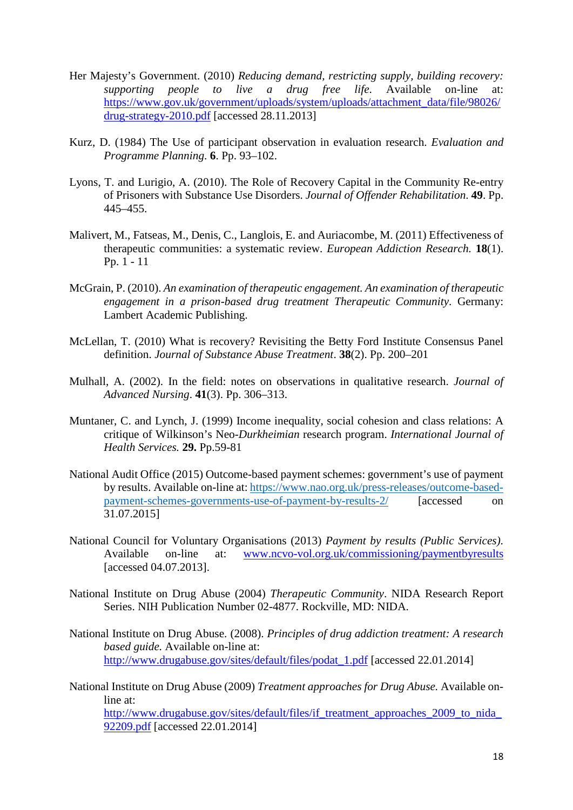- Her Majesty's Government. (2010) *Reducing demand, restricting supply, building recovery: supporting people to live a drug free life*. Available on-line at: [https://www.gov.uk/government/uploads/system/uploads/attachment\\_data/file/98026/](https://www.gov.uk/government/uploads/system/uploads/attachment_data/file/98026/drug-strategy-2010.pdf) [drug-strategy-2010.pdf](https://www.gov.uk/government/uploads/system/uploads/attachment_data/file/98026/drug-strategy-2010.pdf) [accessed 28.11.2013]
- Kurz, D. (1984) The Use of participant observation in evaluation research. *Evaluation and Programme Planning*. **6**. Pp. 93–102.
- Lyons, T. and Lurigio, A. (2010). The Role of Recovery Capital in the Community Re-entry of Prisoners with Substance Use Disorders. *Journal of Offender Rehabilitation*. **49**. Pp. 445–455.
- Malivert, M., Fatseas, M., Denis, C., Langlois, E. and Auriacombe, M. (2011) Effectiveness of therapeutic communities: a systematic review. *European Addiction Research.* **18**(1). Pp. 1 - 11
- McGrain, P. (2010). *An examination of therapeutic engagement. An examination of therapeutic engagement in a prison-based drug treatment Therapeutic Community*. Germany: Lambert Academic Publishing.
- McLellan, T. (2010) What is recovery? Revisiting the Betty Ford Institute Consensus Panel definition. *Journal of Substance Abuse Treatment*. **38**(2). Pp. 200–201
- Mulhall, A. (2002). In the field: notes on observations in qualitative research. *Journal of Advanced Nursing*. **41**(3). Pp. 306–313.
- Muntaner, C. and Lynch, J. (1999) Income inequality, social cohesion and class relations: A critique of Wilkinson's Neo-*Durkheimian* research program. *International Journal of Health Services.* **29.** Pp.59-81
- National Audit Office (2015) Outcome-based payment schemes: government's use of payment by results. Available on-line at: [https://www.nao.org.uk/press-releases/outcome-based](https://www.nao.org.uk/press-releases/outcome-based-payment-schemes-governments-use-of-payment-by-results-2/)[payment-schemes-governments-use-of-payment-by-results-2/](https://www.nao.org.uk/press-releases/outcome-based-payment-schemes-governments-use-of-payment-by-results-2/) [accessed on 31.07.2015]
- National Council for Voluntary Organisations (2013) *Payment by results (Public Services).* Available on-line at: [www.ncvo-vol.org.uk/commissioning/paymentbyresults](http://www.ncvo-vol.org.uk/commissioning/paymentbyresults) [accessed 04.07.2013].
- National Institute on Drug Abuse (2004) *Therapeutic Community*. NIDA Research Report Series. NIH Publication Number 02-4877. Rockville, MD: NIDA.
- National Institute on Drug Abuse. (2008). *Principles of drug addiction treatment: A research based guide.* Available on-line at: [http://www.drugabuse.gov/sites/default/files/podat\\_1.pdf](http://www.drugabuse.gov/sites/default/files/podat_1.pdf) [accessed 22.01.2014]
- National Institute on Drug Abuse (2009) *Treatment approaches for Drug Abuse.* Available online at: [http://www.drugabuse.gov/sites/default/files/if\\_treatment\\_approaches\\_2009\\_to\\_nida\\_](http://www.drugabuse.gov/sites/default/files/if_treatment_approaches_2009_to_nida_92209.pdf) [92209.pdf](http://www.drugabuse.gov/sites/default/files/if_treatment_approaches_2009_to_nida_92209.pdf) [accessed 22.01.2014]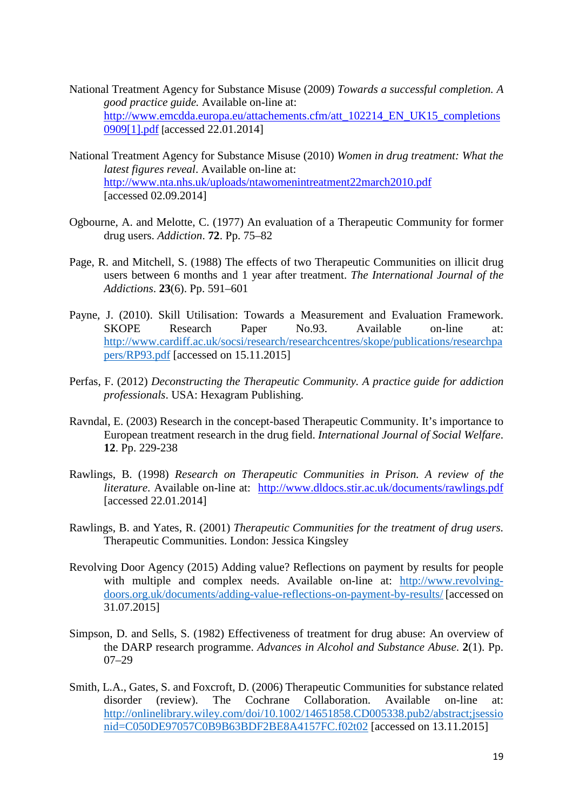- National Treatment Agency for Substance Misuse (2009) *Towards a successful completion. A good practice guide.* Available on-line at: [http://www.emcdda.europa.eu/attachements.cfm/att\\_102214\\_EN\\_UK15\\_completions](http://www.emcdda.europa.eu/attachements.cfm/att_102214_EN_UK15_completions0909%5b1%5d.pdf) [0909\[1\].pdf](http://www.emcdda.europa.eu/attachements.cfm/att_102214_EN_UK15_completions0909%5b1%5d.pdf) [accessed 22.01.2014]
- National Treatment Agency for Substance Misuse (2010) *Women in drug treatment: What the latest figures reveal*. Available on-line at: <http://www.nta.nhs.uk/uploads/ntawomenintreatment22march2010.pdf> [accessed 02.09.2014]
- Ogbourne, A. and Melotte, C. (1977) An evaluation of a Therapeutic Community for former drug users. *Addiction*. **72**. Pp. 75–82
- Page, R. and Mitchell, S. (1988) The effects of two Therapeutic Communities on illicit drug users between 6 months and 1 year after treatment. *The International Journal of the Addictions*. **23**(6). Pp. 591–601
- Payne, J. (2010). Skill Utilisation: Towards a Measurement and Evaluation Framework. SKOPE Research Paper No.93. Available on-line at: [http://www.cardiff.ac.uk/socsi/research/researchcentres/skope/publications/researchpa](http://www.cardiff.ac.uk/socsi/research/researchcentres/skope/publications/researchpapers/RP93.pdf) [pers/RP93.pdf](http://www.cardiff.ac.uk/socsi/research/researchcentres/skope/publications/researchpapers/RP93.pdf) [accessed on 15.11.2015]
- Perfas, F. (2012) *Deconstructing the Therapeutic Community. A practice guide for addiction professionals*. USA: Hexagram Publishing.
- Ravndal, E. (2003) Research in the concept-based Therapeutic Community. It's importance to European treatment research in the drug field. *International Journal of Social Welfare*. **12**. Pp. 229-238
- Rawlings, B. (1998) *Research on Therapeutic Communities in Prison. A review of the literature*. Available on-line at: <http://www.dldocs.stir.ac.uk/documents/rawlings.pdf> [accessed 22.01.2014]
- Rawlings, B. and Yates, R. (2001) *Therapeutic Communities for the treatment of drug users.*  Therapeutic Communities. London: Jessica Kingsley
- Revolving Door Agency (2015) Adding value? Reflections on payment by results for people with multiple and complex needs. Available on-line at: [http://www.revolving](http://www.revolving-doors.org.uk/documents/adding-value-reflections-on-payment-by-results/)[doors.org.uk/documents/adding-value-reflections-on-payment-by-results/](http://www.revolving-doors.org.uk/documents/adding-value-reflections-on-payment-by-results/) [accessed on 31.07.2015]
- Simpson, D. and Sells, S. (1982) Effectiveness of treatment for drug abuse: An overview of the DARP research programme. *Advances in Alcohol and Substance Abuse*. **2**(1). Pp. 07–29
- Smith, L.A., Gates, S. and Foxcroft, D. (2006) Therapeutic Communities for substance related disorder (review). The Cochrane Collaboration. Available on-line at: [http://onlinelibrary.wiley.com/doi/10.1002/14651858.CD005338.pub2/abstract;jsessio](http://onlinelibrary.wiley.com/doi/10.1002/14651858.CD005338.pub2/abstract;jsessionid=C050DE97057C0B9B63BDF2BE8A4157FC.f02t02) [nid=C050DE97057C0B9B63BDF2BE8A4157FC.f02t02](http://onlinelibrary.wiley.com/doi/10.1002/14651858.CD005338.pub2/abstract;jsessionid=C050DE97057C0B9B63BDF2BE8A4157FC.f02t02) [accessed on 13.11.2015]